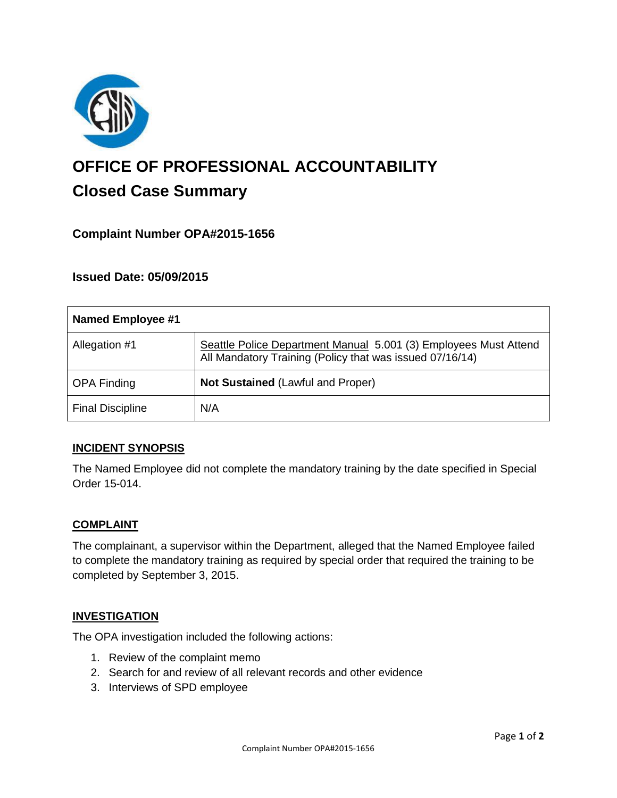

# **OFFICE OF PROFESSIONAL ACCOUNTABILITY Closed Case Summary**

# **Complaint Number OPA#2015-1656**

## **Issued Date: 05/09/2015**

| <b>Named Employee #1</b> |                                                                                                                              |
|--------------------------|------------------------------------------------------------------------------------------------------------------------------|
| Allegation #1            | Seattle Police Department Manual 5.001 (3) Employees Must Attend<br>All Mandatory Training (Policy that was issued 07/16/14) |
| <b>OPA Finding</b>       | <b>Not Sustained (Lawful and Proper)</b>                                                                                     |
| <b>Final Discipline</b>  | N/A                                                                                                                          |

## **INCIDENT SYNOPSIS**

The Named Employee did not complete the mandatory training by the date specified in Special Order 15-014.

#### **COMPLAINT**

The complainant, a supervisor within the Department, alleged that the Named Employee failed to complete the mandatory training as required by special order that required the training to be completed by September 3, 2015.

#### **INVESTIGATION**

The OPA investigation included the following actions:

- 1. Review of the complaint memo
- 2. Search for and review of all relevant records and other evidence
- 3. Interviews of SPD employee